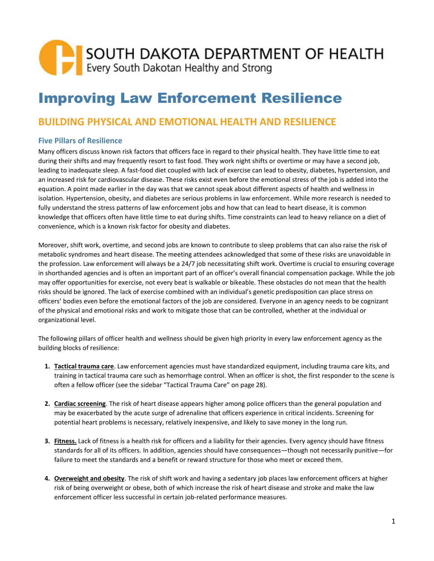## SOUTH DAKOTA DEPARTMENT OF HEALTH<br>Every South Dakotan Healthy and Strong

## Improving Law Enforcement Resilience

## **BUILDING PHYSICAL AND EMOTIONAL HEALTH AND RESILIENCE**

## **Five Pillars of Resilience**

Many officers discuss known risk factors that officers face in regard to their physical health. They have little time to eat during their shifts and may frequently resort to fast food. They work night shifts or overtime or may have a second job, leading to inadequate sleep. A fast-food diet coupled with lack of exercise can lead to obesity, diabetes, hypertension, and an increased risk for cardiovascular disease. These risks exist even before the emotional stress of the job is added into the equation. A point made earlier in the day was that we cannot speak about different aspects of health and wellness in isolation. Hypertension, obesity, and diabetes are serious problems in law enforcement. While more research is needed to fully understand the stress patterns of law enforcement jobs and how that can lead to heart disease, it is common knowledge that officers often have little time to eat during shifts. Time constraints can lead to heavy reliance on a diet of convenience, which is a known risk factor for obesity and diabetes.

Moreover, shift work, overtime, and second jobs are known to contribute to sleep problems that can also raise the risk of metabolic syndromes and heart disease. The meeting attendees acknowledged that some of these risks are unavoidable in the profession. Law enforcement will always be a 24/7 job necessitating shift work. Overtime is crucial to ensuring coverage in shorthanded agencies and is often an important part of an officer's overall financial compensation package. While the job may offer opportunities for exercise, not every beat is walkable or bikeable. These obstacles do not mean that the health risks should be ignored. The lack of exercise combined with an individual's genetic predisposition can place stress on officers' bodies even before the emotional factors of the job are considered. Everyone in an agency needs to be cognizant of the physical and emotional risks and work to mitigate those that can be controlled, whether at the individual or organizational level.

The following pillars of officer health and wellness should be given high priority in every law enforcement agency as the building blocks of resilience:

- **1. Tactical trauma care**. Law enforcement agencies must have standardized equipment, including trauma care kits, and training in tactical trauma care such as hemorrhage control. When an officer is shot, the first responder to the scene is often a fellow officer (see the sidebar "Tactical Trauma Care" on page 28).
- **2. Cardiac screening**. The risk of heart disease appears higher among police officers than the general population and may be exacerbated by the acute surge of adrenaline that officers experience in critical incidents. Screening for potential heart problems is necessary, relatively inexpensive, and likely to save money in the long run.
- **3. Fitness.** Lack of fitness is a health risk for officers and a liability for their agencies. Every agency should have fitness standards for all of its officers. In addition, agencies should have consequences—though not necessarily punitive—for failure to meet the standards and a benefit or reward structure for those who meet or exceed them.
- **4. Overweight and obesity**. The risk of shift work and having a sedentary job places law enforcement officers at higher risk of being overweight or obese, both of which increase the risk of heart disease and stroke and make the law enforcement officer less successful in certain job-related performance measures.